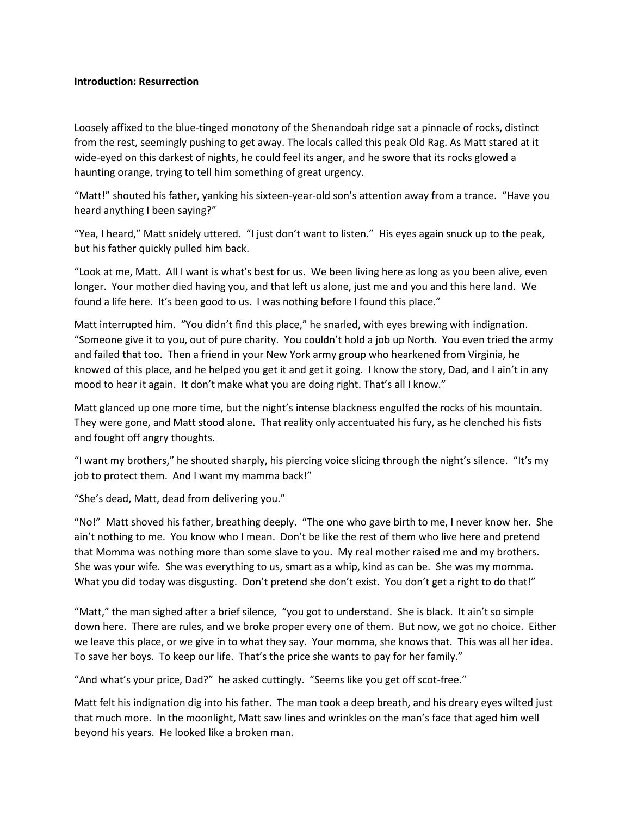## **Introduction: Resurrection**

Loosely affixed to the blue-tinged monotony of the Shenandoah ridge sat a pinnacle of rocks, distinct from the rest, seemingly pushing to get away. The locals called this peak Old Rag. As Matt stared at it wide-eyed on this darkest of nights, he could feel its anger, and he swore that its rocks glowed a haunting orange, trying to tell him something of great urgency.

"Matt!" shouted his father, yanking his sixteen-year-old son's attention away from a trance. "Have you heard anything I been saying?"

"Yea, I heard," Matt snidely uttered. "I just don't want to listen." His eyes again snuck up to the peak, but his father quickly pulled him back.

"Look at me, Matt. All I want is what's best for us. We been living here as long as you been alive, even longer. Your mother died having you, and that left us alone, just me and you and this here land. We found a life here. It's been good to us. I was nothing before I found this place."

Matt interrupted him. "You didn't find this place," he snarled, with eyes brewing with indignation. "Someone give it to you, out of pure charity. You couldn't hold a job up North. You even tried the army and failed that too. Then a friend in your New York army group who hearkened from Virginia, he knowed of this place, and he helped you get it and get it going. I know the story, Dad, and I ain't in any mood to hear it again. It don't make what you are doing right. That's all I know."

Matt glanced up one more time, but the night's intense blackness engulfed the rocks of his mountain. They were gone, and Matt stood alone. That reality only accentuated his fury, as he clenched his fists and fought off angry thoughts.

"I want my brothers," he shouted sharply, his piercing voice slicing through the night's silence. "It's my job to protect them. And I want my mamma back!"

"She's dead, Matt, dead from delivering you."

"No!" Matt shoved his father, breathing deeply. "The one who gave birth to me, I never know her. She ain't nothing to me. You know who I mean. Don't be like the rest of them who live here and pretend that Momma was nothing more than some slave to you. My real mother raised me and my brothers. She was your wife. She was everything to us, smart as a whip, kind as can be. She was my momma. What you did today was disgusting. Don't pretend she don't exist. You don't get a right to do that!"

"Matt," the man sighed after a brief silence, "you got to understand. She is black. It ain't so simple down here. There are rules, and we broke proper every one of them. But now, we got no choice. Either we leave this place, or we give in to what they say. Your momma, she knows that. This was all her idea. To save her boys. To keep our life. That's the price she wants to pay for her family."

"And what's your price, Dad?" he asked cuttingly. "Seems like you get off scot-free."

Matt felt his indignation dig into his father. The man took a deep breath, and his dreary eyes wilted just that much more. In the moonlight, Matt saw lines and wrinkles on the man's face that aged him well beyond his years. He looked like a broken man.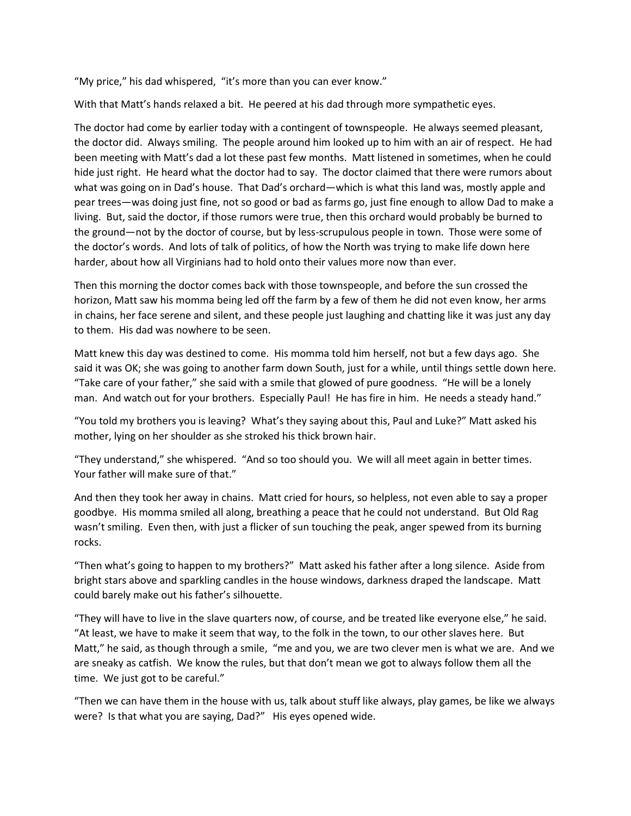"My price," his dad whispered, "it's more than you can ever know."

With that Matt's hands relaxed a bit. He peered at his dad through more sympathetic eyes.

The doctor had come by earlier today with a contingent of townspeople. He always seemed pleasant, the doctor did. Always smiling. The people around him looked up to him with an air of respect. He had been meeting with Matt's dad a lot these past few months. Matt listened in sometimes, when he could hide just right. He heard what the doctor had to say. The doctor claimed that there were rumors about what was going on in Dad's house. That Dad's orchard—which is what this land was, mostly apple and pear trees—was doing just fine, not so good or bad as farms go, just fine enough to allow Dad to make a living. But, said the doctor, if those rumors were true, then this orchard would probably be burned to the ground—not by the doctor of course, but by less-scrupulous people in town. Those were some of the doctor's words. And lots of talk of politics, of how the North was trying to make life down here harder, about how all Virginians had to hold onto their values more now than ever.

Then this morning the doctor comes back with those townspeople, and before the sun crossed the horizon, Matt saw his momma being led off the farm by a few of them he did not even know, her arms in chains, her face serene and silent, and these people just laughing and chatting like it was just any day to them. His dad was nowhere to be seen.

Matt knew this day was destined to come. His momma told him herself, not but a few days ago. She said it was OK; she was going to another farm down South, just for a while, until things settle down here. "Take care of your father," she said with a smile that glowed of pure goodness. "He will be a lonely man. And watch out for your brothers. Especially Paul! He has fire in him. He needs a steady hand."

"You told my brothers you is leaving? What's they saying about this, Paul and Luke?" Matt asked his mother, lying on her shoulder as she stroked his thick brown hair.

"They understand," she whispered. "And so too should you. We will all meet again in better times. Your father will make sure of that."

And then they took her away in chains. Matt cried for hours, so helpless, not even able to say a proper goodbye. His momma smiled all along, breathing a peace that he could not understand. But Old Rag wasn't smiling. Even then, with just a flicker of sun touching the peak, anger spewed from its burning rocks.

"Then what's going to happen to my brothers?" Matt asked his father after a long silence. Aside from bright stars above and sparkling candles in the house windows, darkness draped the landscape. Matt could barely make out his father's silhouette.

"They will have to live in the slave quarters now, of course, and be treated like everyone else," he said. "At least, we have to make it seem that way, to the folk in the town, to our other slaves here. But Matt," he said, as though through a smile, "me and you, we are two clever men is what we are. And we are sneaky as catfish. We know the rules, but that don't mean we got to always follow them all the time. We just got to be careful."

"Then we can have them in the house with us, talk about stuff like always, play games, be like we always were? Is that what you are saying, Dad?" His eyes opened wide.